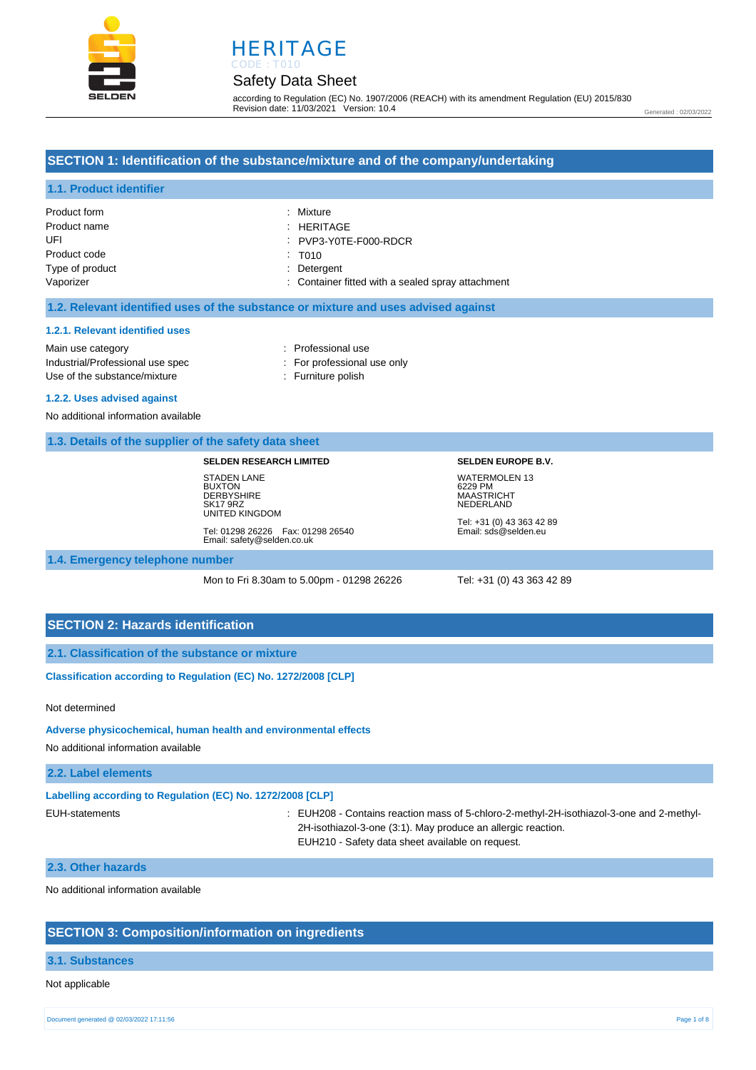



## Safety Data Sheet

according to Regulation (EC) No. 1907/2006 (REACH) with its amendment Regulation (EU) 2015/830 Revision date: 11/03/2021 Version: 10.4

Generated : 02/03/2022

## **SECTION 1: Identification of the substance/mixture and of the company/undertaking**

## **1.1. Product identifier**

| Product form    | : Mixture                                         |
|-----------------|---------------------------------------------------|
| Product name    | : HERITAGE                                        |
| UFI             | : PVP3-Y0TE-F000-RDCR                             |
| Product code    | : T <sub>010</sub>                                |
| Type of product | : Detergent                                       |
| Vaporizer       | : Container fitted with a sealed spray attachment |

#### **1.2. Relevant identified uses of the substance or mixture and uses advised against**

#### **1.2.1. Relevant identified uses**

Main use category **interest and the COV** and the Professional use Industrial/Professional use spec : For professional use only Use of the substance/mixture in the substance in the set of the substance in the substance in the set of the substance in the substance in the substance in the substance in the substance in the substance in the substance i

- 
- 
- **1.2.2. Uses advised against**

## No additional information available

#### **1.3. Details of the supplier of the safety data sheet**

#### **SELDEN RESEARCH LIMITED**

STADEN LANE **BUXTON DERBYSHIRE** SK17 9RZ UNITED KINGDOM Tel: 01298 26226 Fax: 01298 26540 Email: safety@selden.co.uk **SELDEN EUROPE B.V.** WATERMOLEN 13 6229 PM MAASTRICHT NEDERLAND

Tel: +31 (0) 43 363 42 89 Email: sds@selden.eu

**1.4. Emergency telephone number**

Mon to Fri 8.30am to 5.00pm - 01298 26226 Tel: +31 (0) 43 363 42 89

## **SECTION 2: Hazards identification**

**2.1. Classification of the substance or mixture**

**Classification according to Regulation (EC) No. 1272/2008 [CLP]** 

#### Not determined

#### **Adverse physicochemical, human health and environmental effects**

No additional information available

### **2.2. Label elements**

| Labelling according to Regulation (EC) No. 1272/2008 [CLP] |  |  |  |
|------------------------------------------------------------|--|--|--|
|                                                            |  |  |  |

EUH-statements : EUH208 - Contains reaction mass of 5-chloro-2-methyl-2H-isothiazol-3-one and 2-methyl-2H-isothiazol-3-one (3:1). May produce an allergic reaction. EUH210 - Safety data sheet available on request.

#### **2.3. Other hazards**

No additional information available

### **SECTION 3: Composition/information on ingredients**

#### **3.1. Substances**

#### Not applicable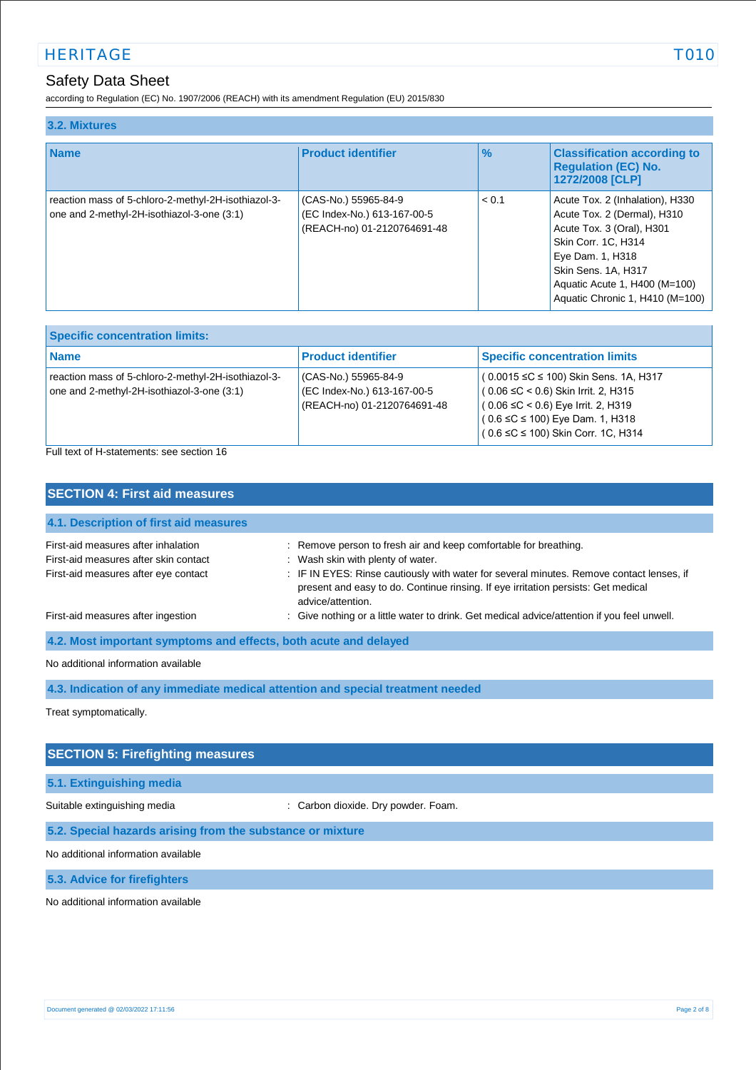# HERITAGE TO THE TO SERVE TO A SERVE TO A SERVE TO A SERVE TO A SERVE TO A SERVE TO A SERVE TO A SERVE TO A SERVE

# Safety Data Sheet

according to Regulation (EC) No. 1907/2006 (REACH) with its amendment Regulation (EU) 2015/830

| 3.2. Mixtures                                                                                     |                                                                                    |       |                                                                                                                                                                                                                                   |  |
|---------------------------------------------------------------------------------------------------|------------------------------------------------------------------------------------|-------|-----------------------------------------------------------------------------------------------------------------------------------------------------------------------------------------------------------------------------------|--|
| <b>Name</b>                                                                                       | <b>Product identifier</b>                                                          | $\%$  | <b>Classification according to</b><br><b>Regulation (EC) No.</b><br>1272/2008 [CLP]                                                                                                                                               |  |
| reaction mass of 5-chloro-2-methyl-2H-isothiazol-3-<br>one and 2-methyl-2H-isothiazol-3-one (3:1) | (CAS-No.) 55965-84-9<br>(EC Index-No.) 613-167-00-5<br>(REACH-no) 01-2120764691-48 | < 0.1 | Acute Tox. 2 (Inhalation), H330<br>Acute Tox. 2 (Dermal), H310<br>Acute Tox. 3 (Oral), H301<br>Skin Corr. 1C, H314<br>Eye Dam. 1, H318<br>Skin Sens. 1A, H317<br>Aquatic Acute 1, H400 (M=100)<br>Aquatic Chronic 1, H410 (M=100) |  |

| <b>Specific concentration limits:</b>                                                               |                                                                                    |                                                                                                                                                                                                                                   |  |
|-----------------------------------------------------------------------------------------------------|------------------------------------------------------------------------------------|-----------------------------------------------------------------------------------------------------------------------------------------------------------------------------------------------------------------------------------|--|
| <b>Name</b>                                                                                         | <b>Product identifier</b>                                                          | <b>Specific concentration limits</b>                                                                                                                                                                                              |  |
| reaction mass of 5-chloro-2-methyl-2H-isothiazol-3-<br>one and 2-methyl-2H-isothiazol-3-one $(3:1)$ | (CAS-No.) 55965-84-9<br>(EC Index-No.) 613-167-00-5<br>(REACH-no) 01-2120764691-48 | $(0.0015 \leq C \leq 100)$ Skin Sens. 1A, H317<br>$(0.06 ≤ C < 0.6)$ Skin Irrit. 2, H315<br>$(0.06 ≤ C < 0.6)$ Eye Irrit. 2, H319<br>$(0.6 \leq C \leq 100)$ Eye Dam. 1, H318<br><sup>1</sup> ( 0.6 ≤C ≤ 100) Skin Corr. 1C, H314 |  |

Full text of H-statements: see section 16

| <b>SECTION 4: First aid measures</b>                             |                                                                                                                                                                                                    |  |  |
|------------------------------------------------------------------|----------------------------------------------------------------------------------------------------------------------------------------------------------------------------------------------------|--|--|
| 4.1. Description of first aid measures                           |                                                                                                                                                                                                    |  |  |
| First-aid measures after inhalation                              | : Remove person to fresh air and keep comfortable for breathing.                                                                                                                                   |  |  |
| First-aid measures after skin contact                            | : Wash skin with plenty of water.                                                                                                                                                                  |  |  |
| First-aid measures after eye contact                             | : IF IN EYES: Rinse cautiously with water for several minutes. Remove contact lenses, if<br>present and easy to do. Continue rinsing. If eye irritation persists: Get medical<br>advice/attention. |  |  |
| First-aid measures after ingestion                               | : Give nothing or a little water to drink. Get medical advice/attention if you feel unwell.                                                                                                        |  |  |
| 4.2. Most important symptoms and effects, both acute and delayed |                                                                                                                                                                                                    |  |  |
| No additional information available                              |                                                                                                                                                                                                    |  |  |

**4.3. Indication of any immediate medical attention and special treatment needed**

Treat symptomatically.

## **SECTION 5: Firefighting measures**

## **5.1. Extinguishing media**

Suitable extinguishing media : Carbon dioxide. Dry powder. Foam.

### **5.2. Special hazards arising from the substance or mixture**

No additional information available

**5.3. Advice for firefighters**

No additional information available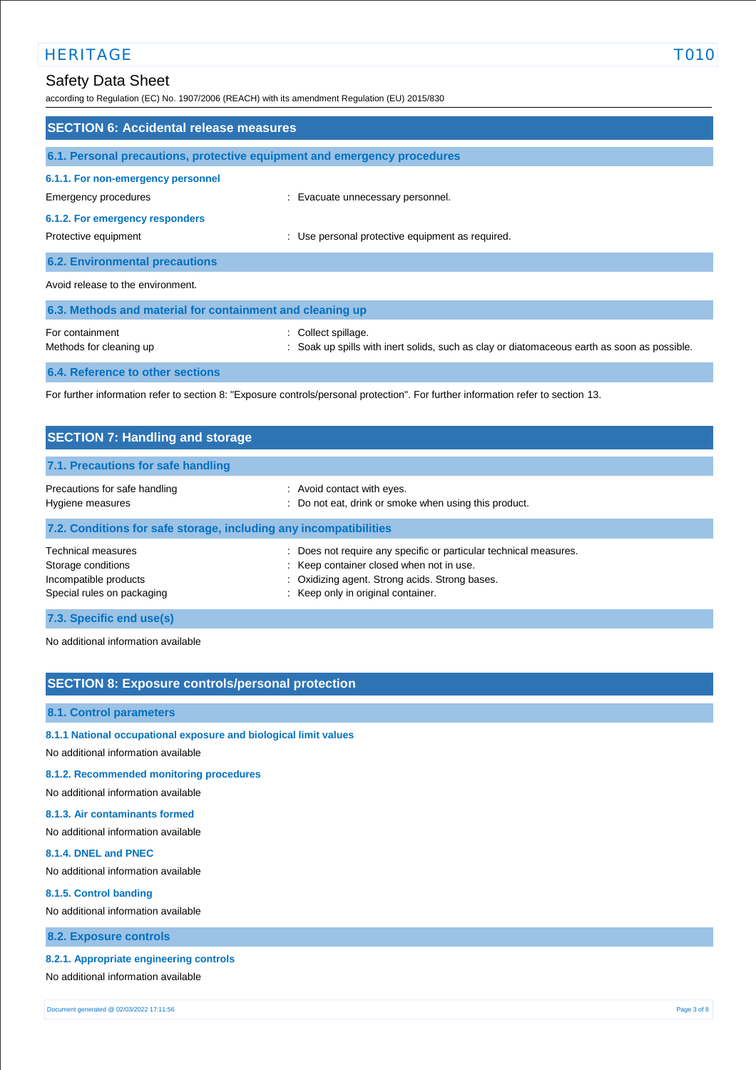# HERITAGE TO THE CONTROL CONTROL CONTROL CONTROL CONTROL CONTROL CONTROL CONTROL CONTROL CONTROL CONTROL CONTROL CONTROL CONTROL CONTROL CONTROL CONTROL CONTROL CONTROL CONTROL CONTROL CONTROL CONTROL CONTROL CONTROL CONTRO

# Safety Data Sheet

according to Regulation (EC) No. 1907/2006 (REACH) with its amendment Regulation (EU) 2015/830

| <b>SECTION 6: Accidental release measures</b>                            |                                                                                                                    |  |
|--------------------------------------------------------------------------|--------------------------------------------------------------------------------------------------------------------|--|
| 6.1. Personal precautions, protective equipment and emergency procedures |                                                                                                                    |  |
| 6.1.1. For non-emergency personnel<br>Emergency procedures               | : Evacuate unnecessary personnel.                                                                                  |  |
| 6.1.2. For emergency responders<br>Protective equipment                  | : Use personal protective equipment as required.                                                                   |  |
| <b>6.2. Environmental precautions</b>                                    |                                                                                                                    |  |
| Avoid release to the environment.                                        |                                                                                                                    |  |
| 6.3. Methods and material for containment and cleaning up                |                                                                                                                    |  |
| For containment<br>Methods for cleaning up                               | : Collect spillage.<br>: Soak up spills with inert solids, such as clay or diatomaceous earth as soon as possible. |  |
| 6.4. Reference to other sections                                         |                                                                                                                    |  |
|                                                                          |                                                                                                                    |  |

For further information refer to section 8: "Exposure controls/personal protection". For further information refer to section 13.

| <b>SECTION 7: Handling and storage</b>                                                                 |                                                                                                                                                                                                          |
|--------------------------------------------------------------------------------------------------------|----------------------------------------------------------------------------------------------------------------------------------------------------------------------------------------------------------|
| 7.1. Precautions for safe handling                                                                     |                                                                                                                                                                                                          |
| Precautions for safe handling<br>Hygiene measures                                                      | : Avoid contact with eyes.<br>: Do not eat, drink or smoke when using this product.                                                                                                                      |
| 7.2. Conditions for safe storage, including any incompatibilities                                      |                                                                                                                                                                                                          |
| <b>Technical measures</b><br>Storage conditions<br>Incompatible products<br>Special rules on packaging | Does not require any specific or particular technical measures.<br>÷<br>: Keep container closed when not in use.<br>: Oxidizing agent. Strong acids. Strong bases.<br>: Keep only in original container. |
| 7.3. Specific end use(s)                                                                               |                                                                                                                                                                                                          |

No additional information available

## **SECTION 8: Exposure controls/personal protection**

#### **8.1. Control parameters**

- **8.1.1 National occupational exposure and biological limit values**
- No additional information available

### **8.1.2. Recommended monitoring procedures**

No additional information available

### **8.1.3. Air contaminants formed**

No additional information available

#### **8.1.4. DNEL and PNEC**

No additional information available

#### **8.1.5. Control banding**

No additional information available

## **8.2. Exposure controls**

### **8.2.1. Appropriate engineering controls**

No additional information available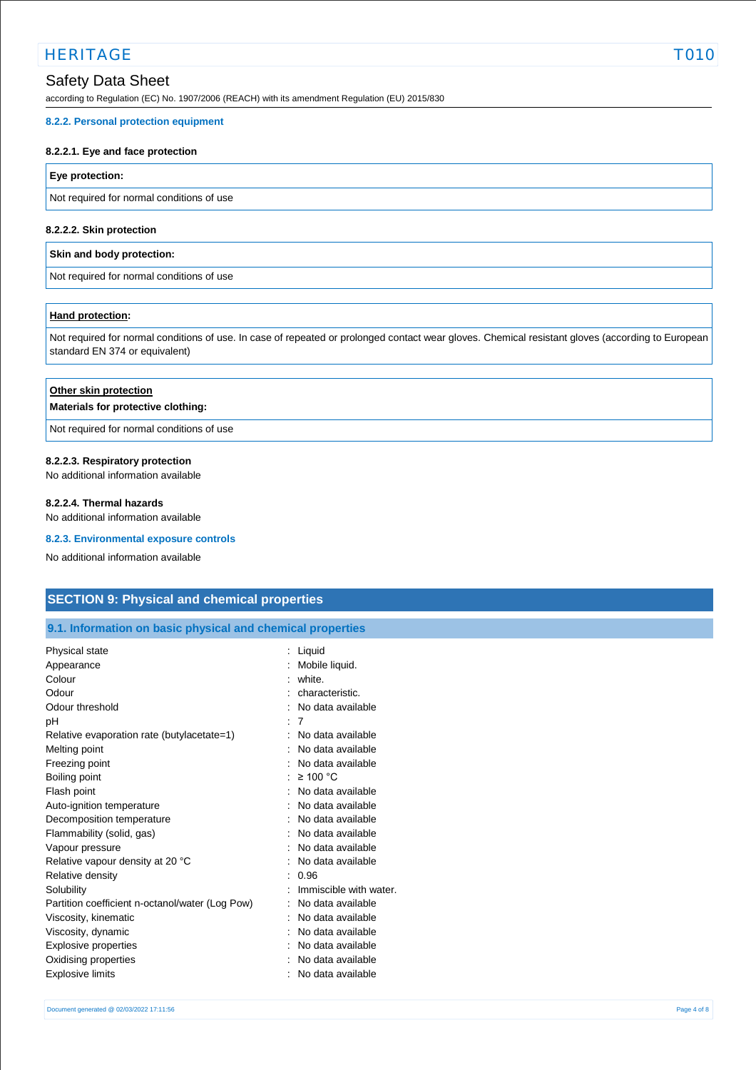# HERITAGE TO THE CONTROL CONTROL CONTROL CONTROL CONTROL CONTROL CONTROL CONTROL CONTROL CONTROL CONTROL CONTROL CONTROL CONTROL CONTROL CONTROL CONTROL CONTROL CONTROL CONTROL CONTROL CONTROL CONTROL CONTROL CONTROL CONTRO

# Safety Data Sheet

according to Regulation (EC) No. 1907/2006 (REACH) with its amendment Regulation (EU) 2015/830

#### **8.2.2. Personal protection equipment**

#### **8.2.2.1. Eye and face protection**

### **Eye protection:**

Not required for normal conditions of use

#### **8.2.2.2. Skin protection**

#### **Skin and body protection:**

Not required for normal conditions of use

#### **Hand protection:**

Not required for normal conditions of use. In case of repeated or prolonged contact wear gloves. Chemical resistant gloves (according to European standard EN 374 or equivalent)

## **Other skin protection**

#### **Materials for protective clothing:**

Not required for normal conditions of use

#### **8.2.2.3. Respiratory protection**

No additional information available

#### **8.2.2.4. Thermal hazards**

No additional information available

#### **8.2.3. Environmental exposure controls**

No additional information available

## **SECTION 9: Physical and chemical properties**

## **9.1. Information on basic physical and chemical properties**

| Physical state                                  | : Liquid               |
|-------------------------------------------------|------------------------|
| Appearance                                      | Mobile liquid.         |
| Colour                                          | white.                 |
| Odour                                           | characteristic.        |
| Odour threshold                                 | No data available      |
| рH                                              | 7                      |
| Relative evaporation rate (butylacetate=1)      | No data available      |
| Melting point                                   | No data available      |
| Freezing point                                  | No data available      |
| Boiling point                                   | $\geq$ 100 °C          |
| Flash point                                     | No data available      |
| Auto-ignition temperature                       | No data available      |
| Decomposition temperature                       | No data available      |
| Flammability (solid, gas)                       | No data available      |
| Vapour pressure                                 | No data available      |
| Relative vapour density at 20 °C                | No data available      |
| Relative density                                | 0.96                   |
| Solubility                                      | Immiscible with water. |
| Partition coefficient n-octanol/water (Log Pow) | No data available      |
| Viscosity, kinematic                            | No data available      |
| Viscosity, dynamic                              | No data available      |
| Explosive properties                            | No data available      |
| Oxidising properties                            | No data available      |
| Explosive limits                                | No data available      |
|                                                 |                        |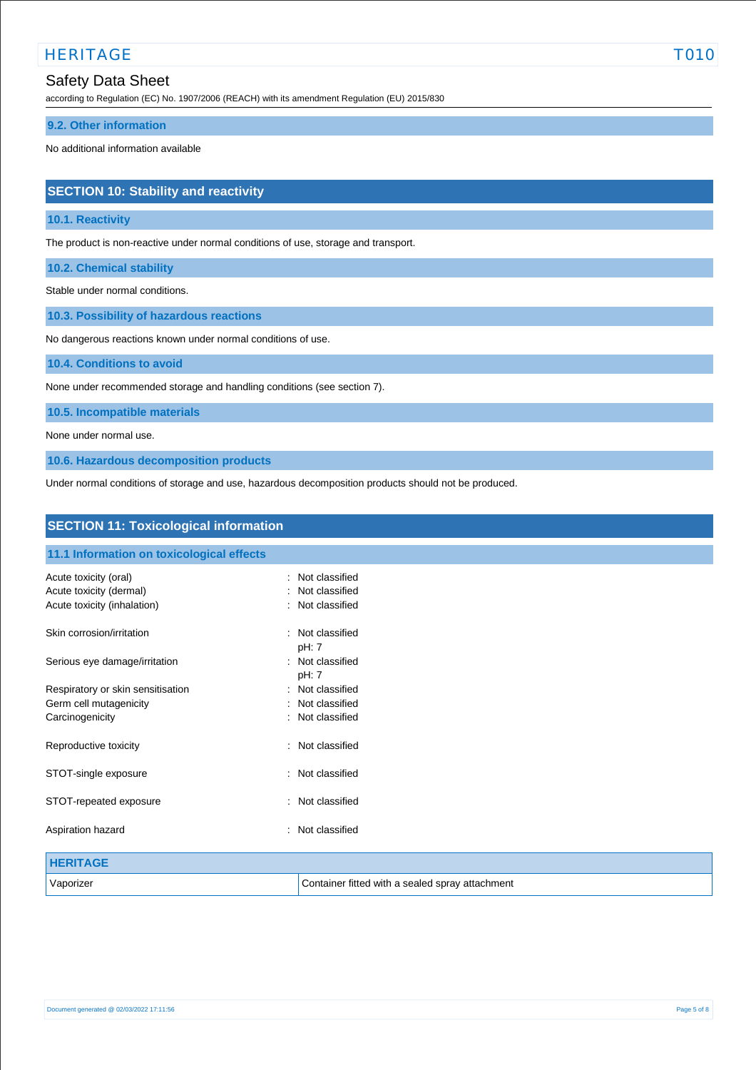# HERITAGE TO THE CONTROL CONTROL CONTROL CONTROL CONTROL CONTROL CONTROL CONTROL CONTROL CONTROL CONTROL CONTROL CONTROL CONTROL CONTROL CONTROL CONTROL CONTROL CONTROL CONTROL CONTROL CONTROL CONTROL CONTROL CONTROL CONTRO

# Safety Data Sheet

according to Regulation (EC) No. 1907/2006 (REACH) with its amendment Regulation (EU) 2015/830

### **9.2. Other information**

No additional information available

# **SECTION 10: Stability and reactivity**

### **10.1. Reactivity**

The product is non-reactive under normal conditions of use, storage and transport.

**10.2. Chemical stability**

Stable under normal conditions.

**10.3. Possibility of hazardous reactions**

No dangerous reactions known under normal conditions of use.

**10.4. Conditions to avoid**

None under recommended storage and handling conditions (see section 7).

**10.5. Incompatible materials**

None under normal use.

**10.6. Hazardous decomposition products**

Under normal conditions of storage and use, hazardous decomposition products should not be produced.

| <b>SECTION 11: Toxicological information</b> |                                                 |  |
|----------------------------------------------|-------------------------------------------------|--|
| 11.1 Information on toxicological effects    |                                                 |  |
| Acute toxicity (oral)                        | : Not classified                                |  |
| Acute toxicity (dermal)                      | : Not classified                                |  |
| Acute toxicity (inhalation)                  | Not classified                                  |  |
| Skin corrosion/irritation                    | : Not classified<br>pH: 7                       |  |
| Serious eye damage/irritation                | : Not classified<br>pH: 7                       |  |
| Respiratory or skin sensitisation            | : Not classified                                |  |
| Germ cell mutagenicity                       | Not classified                                  |  |
| Carcinogenicity                              | : Not classified                                |  |
| Reproductive toxicity                        | Not classified<br>÷                             |  |
| STOT-single exposure                         | : Not classified                                |  |
| STOT-repeated exposure                       | : Not classified                                |  |
| Aspiration hazard                            | Not classified                                  |  |
| <b>HERITAGE</b>                              |                                                 |  |
| Vaporizer                                    | Container fitted with a sealed spray attachment |  |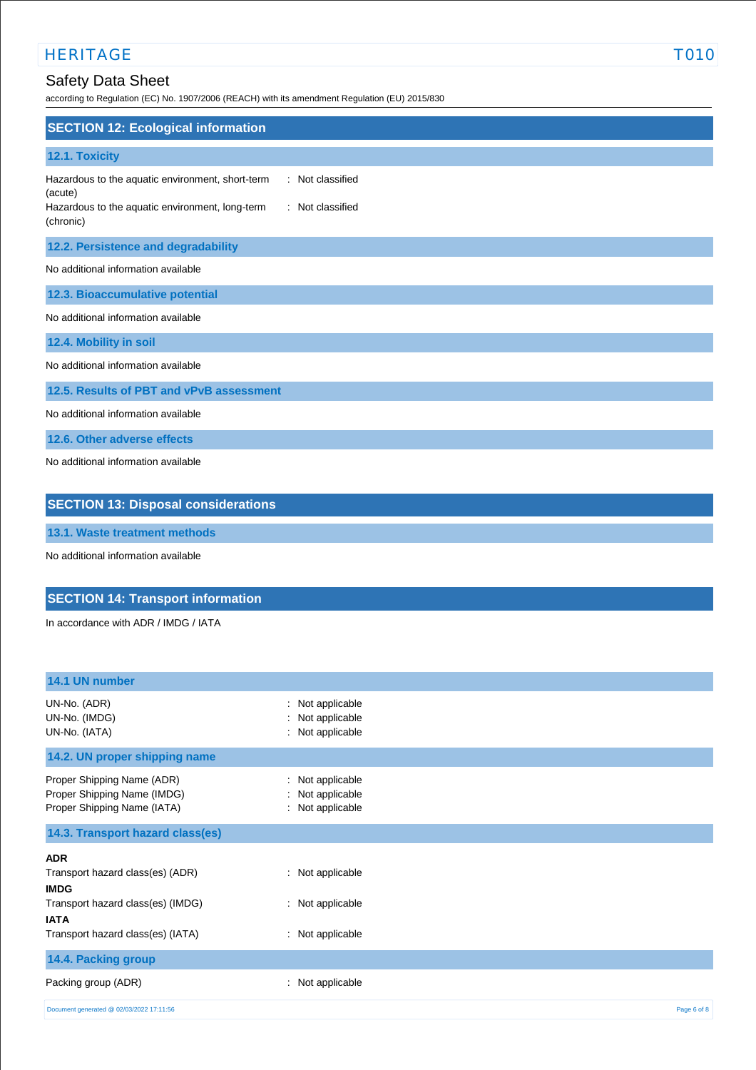# HERITAGE TO THE SERVICE OF THE SERVICE OF THE SERVICE OF THE SERVICE OF THE SERVICE OF THE SERVICE OF THE SERVICE OF THE SERVICE OF THE SERVICE OF THE SERVICE OF THE SERVICE OF THE SERVICE OF THE SERVICE OF THE SERVICE OF

# Safety Data Sheet

according to Regulation (EC) No. 1907/2006 (REACH) with its amendment Regulation (EU) 2015/830

| <b>SECTION 12: Ecological information</b>                                                                                                                           |
|---------------------------------------------------------------------------------------------------------------------------------------------------------------------|
|                                                                                                                                                                     |
| 12.1. Toxicity                                                                                                                                                      |
| Hazardous to the aquatic environment, short-term<br>: Not classified<br>(acute)<br>Hazardous to the aquatic environment, long-term<br>: Not classified<br>(chronic) |
| 12.2. Persistence and degradability                                                                                                                                 |
| No additional information available                                                                                                                                 |
| 12.3. Bioaccumulative potential                                                                                                                                     |
| No additional information available                                                                                                                                 |
| 12.4. Mobility in soil                                                                                                                                              |
| No additional information available                                                                                                                                 |
| 12.5. Results of PBT and vPvB assessment                                                                                                                            |
| No additional information available                                                                                                                                 |
| 12.6. Other adverse effects                                                                                                                                         |
| No additional information available                                                                                                                                 |
| <b>SECTION 13: Disposal considerations</b>                                                                                                                          |

**13.1. Waste treatment methods**

No additional information available

# **SECTION 14: Transport information**

In accordance with ADR / IMDG / IATA

| 14.1 UN number                                                                           |                                                                   |             |
|------------------------------------------------------------------------------------------|-------------------------------------------------------------------|-------------|
| UN-No. (ADR)<br>UN-No. (IMDG)<br>UN-No. (IATA)                                           | Not applicable<br>÷<br>Not applicable<br>÷<br>Not applicable<br>÷ |             |
| 14.2. UN proper shipping name                                                            |                                                                   |             |
| Proper Shipping Name (ADR)<br>Proper Shipping Name (IMDG)<br>Proper Shipping Name (IATA) | Not applicable<br>÷<br>Not applicable<br>÷<br>: Not applicable    |             |
| 14.3. Transport hazard class(es)                                                         |                                                                   |             |
| <b>ADR</b>                                                                               |                                                                   |             |
| Transport hazard class(es) (ADR)<br><b>IMDG</b>                                          | : Not applicable                                                  |             |
| Transport hazard class(es) (IMDG)<br><b>IATA</b>                                         | : Not applicable                                                  |             |
| Transport hazard class(es) (IATA)                                                        | : Not applicable                                                  |             |
| 14.4. Packing group                                                                      |                                                                   |             |
| Packing group (ADR)                                                                      | Not applicable<br>÷                                               |             |
| Document generated @ 02/03/2022 17:11:56                                                 |                                                                   | Page 6 of 8 |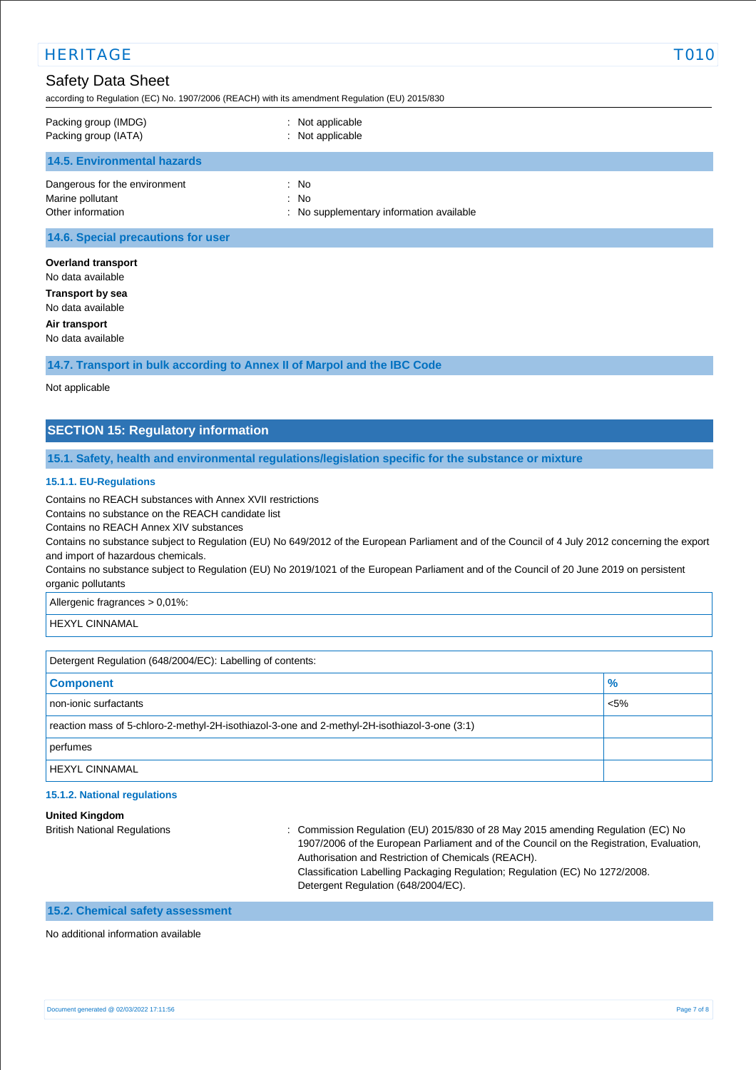| <b>HERITAGE</b>                                                                                |                                                                                                | T010 |
|------------------------------------------------------------------------------------------------|------------------------------------------------------------------------------------------------|------|
| <b>Safety Data Sheet</b>                                                                       | according to Regulation (EC) No. 1907/2006 (REACH) with its amendment Regulation (EU) 2015/830 |      |
| Packing group (IMDG)<br>Packing group (IATA)                                                   | : Not applicable<br>: Not applicable                                                           |      |
| <b>14.5. Environmental hazards</b>                                                             |                                                                                                |      |
| Dangerous for the environment<br>Marine pollutant<br>Other information                         | : No<br>: No<br>: No supplementary information available                                       |      |
| 14.6. Special precautions for user                                                             |                                                                                                |      |
| <b>Overland transport</b><br>No data available<br><b>Transport by sea</b><br>No data available |                                                                                                |      |
| Air transport<br>No data available                                                             |                                                                                                |      |
|                                                                                                | 14.7. Transport in bulk according to Annex II of Marpol and the IBC Code                       |      |

Not applicable

# **SECTION 15: Regulatory information**

### **15.1. Safety, health and environmental regulations/legislation specific for the substance or mixture**

#### **15.1.1. EU-Regulations**

Contains no REACH substances with Annex XVII restrictions

Contains no substance on the REACH candidate list

Contains no REACH Annex XIV substances

Contains no substance subject to Regulation (EU) No 649/2012 of the European Parliament and of the Council of 4 July 2012 concerning the export and import of hazardous chemicals.

Contains no substance subject to Regulation (EU) No 2019/1021 of the European Parliament and of the Council of 20 June 2019 on persistent organic pollutants

Allergenic fragrances > 0,01%:

HEXYL CINNAMAL

Detergent Regulation (648/2004/EC): Labelling of contents:

| <b>Component</b>                                                                              | $\frac{9}{6}$ |
|-----------------------------------------------------------------------------------------------|---------------|
| non-ionic surfactants                                                                         | $< 5\%$       |
| reaction mass of 5-chloro-2-methyl-2H-isothiazol-3-one and 2-methyl-2H-isothiazol-3-one (3:1) |               |
| perfumes                                                                                      |               |
| <b>HEXYL CINNAMAL</b>                                                                         |               |

### **15.1.2. National regulations**

**United Kingdom**

British National Regulations : Commission Regulation (EU) 2015/830 of 28 May 2015 amending Regulation (EC) No 1907/2006 of the European Parliament and of the Council on the Registration, Evaluation, Authorisation and Restriction of Chemicals (REACH). Classification Labelling Packaging Regulation; Regulation (EC) No 1272/2008. Detergent Regulation (648/2004/EC).

## **15.2. Chemical safety assessment**

No additional information available